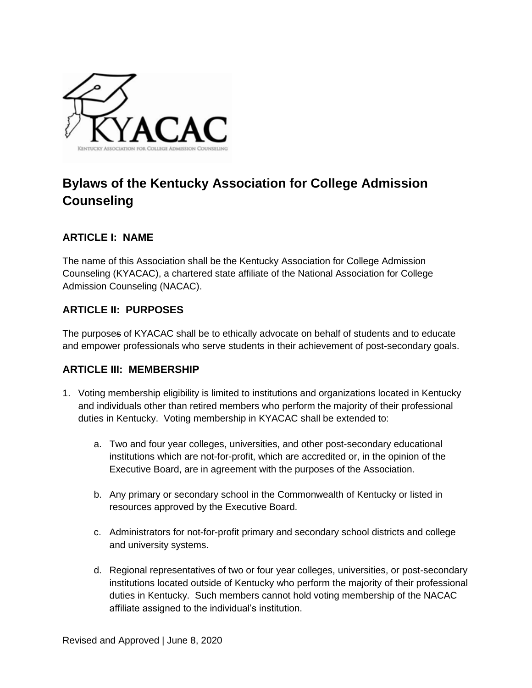

# **Bylaws of the Kentucky Association for College Admission Counseling**

#### **ARTICLE I: NAME**

The name of this Association shall be the Kentucky Association for College Admission Counseling (KYACAC), a chartered state affiliate of the National Association for College Admission Counseling (NACAC).

### **ARTICLE II: PURPOSES**

The purposes of KYACAC shall be to ethically advocate on behalf of students and to educate and empower professionals who serve students in their achievement of post-secondary goals.

#### **ARTICLE III: MEMBERSHIP**

- 1. Voting membership eligibility is limited to institutions and organizations located in Kentucky and individuals other than retired members who perform the majority of their professional duties in Kentucky. Voting membership in KYACAC shall be extended to:
	- a. Two and four year colleges, universities, and other post-secondary educational institutions which are not-for-profit, which are accredited or, in the opinion of the Executive Board, are in agreement with the purposes of the Association.
	- b. Any primary or secondary school in the Commonwealth of Kentucky or listed in resources approved by the Executive Board.
	- c. Administrators for not-for-profit primary and secondary school districts and college and university systems.
	- d. Regional representatives of two or four year colleges, universities, or post-secondary institutions located outside of Kentucky who perform the majority of their professional duties in Kentucky. Such members cannot hold voting membership of the NACAC affiliate assigned to the individual's institution.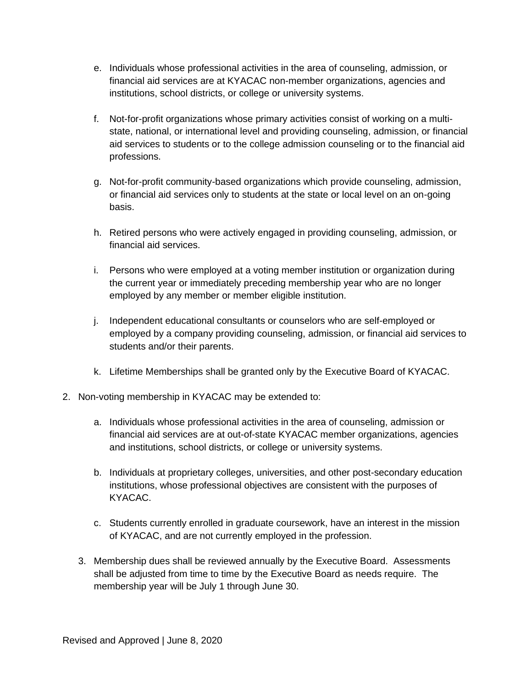- e. Individuals whose professional activities in the area of counseling, admission, or financial aid services are at KYACAC non-member organizations, agencies and institutions, school districts, or college or university systems.
- f. Not-for-profit organizations whose primary activities consist of working on a multistate, national, or international level and providing counseling, admission, or financial aid services to students or to the college admission counseling or to the financial aid professions.
- g. Not-for-profit community-based organizations which provide counseling, admission, or financial aid services only to students at the state or local level on an on-going basis.
- h. Retired persons who were actively engaged in providing counseling, admission, or financial aid services.
- i. Persons who were employed at a voting member institution or organization during the current year or immediately preceding membership year who are no longer employed by any member or member eligible institution.
- j. Independent educational consultants or counselors who are self-employed or employed by a company providing counseling, admission, or financial aid services to students and/or their parents.
- k. Lifetime Memberships shall be granted only by the Executive Board of KYACAC.
- 2. Non-voting membership in KYACAC may be extended to:
	- a. Individuals whose professional activities in the area of counseling, admission or financial aid services are at out-of-state KYACAC member organizations, agencies and institutions, school districts, or college or university systems.
	- b. Individuals at proprietary colleges, universities, and other post-secondary education institutions, whose professional objectives are consistent with the purposes of KYACAC.
	- c. Students currently enrolled in graduate coursework, have an interest in the mission of KYACAC, and are not currently employed in the profession.
	- 3. Membership dues shall be reviewed annually by the Executive Board. Assessments shall be adjusted from time to time by the Executive Board as needs require. The membership year will be July 1 through June 30.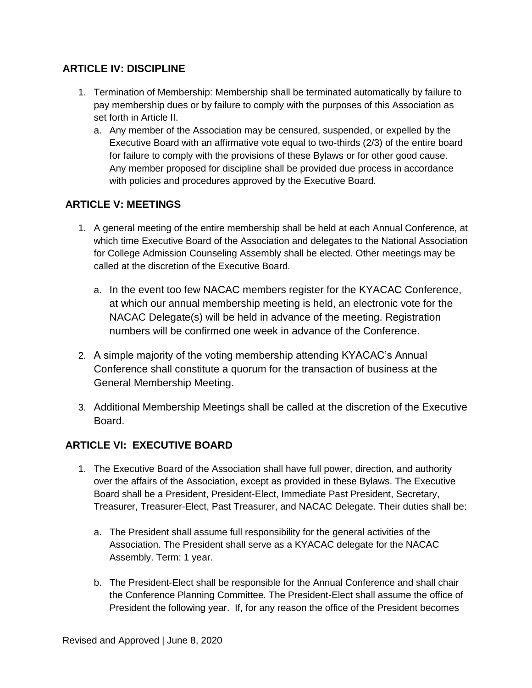## **ARTICLE IV: DISCIPLINE**

- 1. Termination of Membership: Membership shall be terminated automatically by failure to pay membership dues or by failure to comply with the purposes of this Association as set forth in Article II.
	- a. Any member of the Association may be censured, suspended, or expelled by the Executive Board with an affirmative vote equal to two-thirds (2/3) of the entire board for failure to comply with the provisions of these Bylaws or for other good cause. Any member proposed for discipline shall be provided due process in accordance with policies and procedures approved by the Executive Board.

## **ARTICLE V: MEETINGS**

- 1. A general meeting of the entire membership shall be held at each Annual Conference, at which time Executive Board of the Association and delegates to the National Association for College Admission Counseling Assembly shall be elected. Other meetings may be called at the discretion of the Executive Board.
	- a. In the event too few NACAC members register for the KYACAC Conference, at which our annual membership meeting is held, an electronic vote for the NACAC Delegate(s) will be held in advance of the meeting. Registration numbers will be confirmed one week in advance of the Conference.
- 2. A simple majority of the voting membership attending KYACAC's Annual Conference shall constitute a quorum for the transaction of business at the General Membership Meeting.
- 3. Additional Membership Meetings shall be called at the discretion of the Executive Board.

### **ARTICLE VI: EXECUTIVE BOARD**

- 1. The Executive Board of the Association shall have full power, direction, and authority over the affairs of the Association, except as provided in these Bylaws. The Executive Board shall be a President, President-Elect, Immediate Past President, Secretary, Treasurer, Treasurer-Elect, Past Treasurer, and NACAC Delegate. Their duties shall be:
	- a. The President shall assume full responsibility for the general activities of the Association. The President shall serve as a KYACAC delegate for the NACAC Assembly. Term: 1 year.
	- b. The President-Elect shall be responsible for the Annual Conference and shall chair the Conference Planning Committee. The President-Elect shall assume the office of President the following year. If, for any reason the office of the President becomes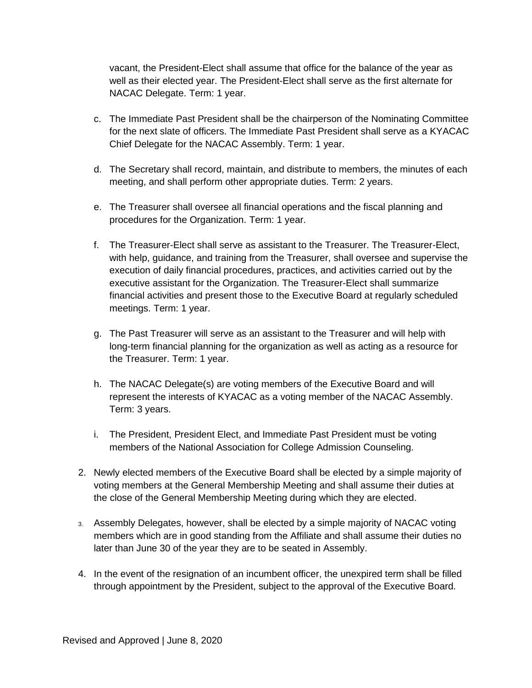vacant, the President-Elect shall assume that office for the balance of the year as well as their elected year. The President-Elect shall serve as the first alternate for NACAC Delegate. Term: 1 year.

- c. The Immediate Past President shall be the chairperson of the Nominating Committee for the next slate of officers. The Immediate Past President shall serve as a KYACAC Chief Delegate for the NACAC Assembly. Term: 1 year.
- d. The Secretary shall record, maintain, and distribute to members, the minutes of each meeting, and shall perform other appropriate duties. Term: 2 years.
- e. The Treasurer shall oversee all financial operations and the fiscal planning and procedures for the Organization. Term: 1 year.
- f. The Treasurer-Elect shall serve as assistant to the Treasurer. The Treasurer-Elect, with help, guidance, and training from the Treasurer, shall oversee and supervise the execution of daily financial procedures, practices, and activities carried out by the executive assistant for the Organization. The Treasurer-Elect shall summarize financial activities and present those to the Executive Board at regularly scheduled meetings. Term: 1 year.
- g. The Past Treasurer will serve as an assistant to the Treasurer and will help with long-term financial planning for the organization as well as acting as a resource for the Treasurer. Term: 1 year.
- h. The NACAC Delegate(s) are voting members of the Executive Board and will represent the interests of KYACAC as a voting member of the NACAC Assembly. Term: 3 years.
- i. The President, President Elect, and Immediate Past President must be voting members of the National Association for College Admission Counseling.
- 2. Newly elected members of the Executive Board shall be elected by a simple majority of voting members at the General Membership Meeting and shall assume their duties at the close of the General Membership Meeting during which they are elected.
- 3. Assembly Delegates, however, shall be elected by a simple majority of NACAC voting members which are in good standing from the Affiliate and shall assume their duties no later than June 30 of the year they are to be seated in Assembly.
- 4. In the event of the resignation of an incumbent officer, the unexpired term shall be filled through appointment by the President, subject to the approval of the Executive Board.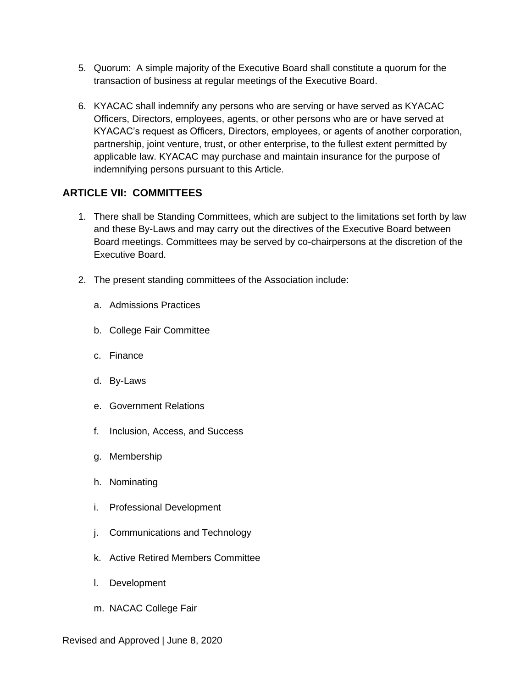- 5. Quorum: A simple majority of the Executive Board shall constitute a quorum for the transaction of business at regular meetings of the Executive Board.
- 6. KYACAC shall indemnify any persons who are serving or have served as KYACAC Officers, Directors, employees, agents, or other persons who are or have served at KYACAC's request as Officers, Directors, employees, or agents of another corporation, partnership, joint venture, trust, or other enterprise, to the fullest extent permitted by applicable law. KYACAC may purchase and maintain insurance for the purpose of indemnifying persons pursuant to this Article.

#### **ARTICLE VII: COMMITTEES**

- 1. There shall be Standing Committees, which are subject to the limitations set forth by law and these By-Laws and may carry out the directives of the Executive Board between Board meetings. Committees may be served by co-chairpersons at the discretion of the Executive Board.
- 2. The present standing committees of the Association include:
	- a. Admissions Practices
	- b. College Fair Committee
	- c. Finance
	- d. By-Laws
	- e. Government Relations
	- f. Inclusion, Access, and Success
	- g. Membership
	- h. Nominating
	- i. Professional Development
	- j. Communications and Technology
	- k. Active Retired Members Committee
	- l. Development
	- m. NACAC College Fair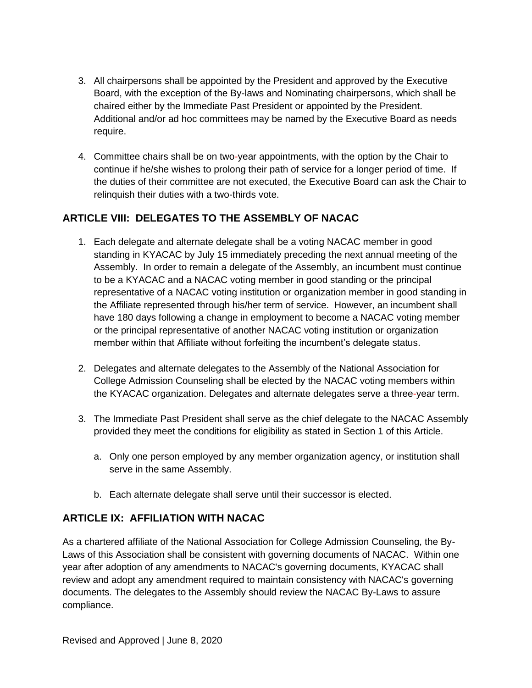- 3. All chairpersons shall be appointed by the President and approved by the Executive Board, with the exception of the By-laws and Nominating chairpersons, which shall be chaired either by the Immediate Past President or appointed by the President. Additional and/or ad hoc committees may be named by the Executive Board as needs require.
- 4. Committee chairs shall be on two-year appointments, with the option by the Chair to continue if he/she wishes to prolong their path of service for a longer period of time. If the duties of their committee are not executed, the Executive Board can ask the Chair to relinquish their duties with a two-thirds vote.

## **ARTICLE VIII: DELEGATES TO THE ASSEMBLY OF NACAC**

- 1. Each delegate and alternate delegate shall be a voting NACAC member in good standing in KYACAC by July 15 immediately preceding the next annual meeting of the Assembly. In order to remain a delegate of the Assembly, an incumbent must continue to be a KYACAC and a NACAC voting member in good standing or the principal representative of a NACAC voting institution or organization member in good standing in the Affiliate represented through his/her term of service. However, an incumbent shall have 180 days following a change in employment to become a NACAC voting member or the principal representative of another NACAC voting institution or organization member within that Affiliate without forfeiting the incumbent's delegate status.
- 2. Delegates and alternate delegates to the Assembly of the National Association for College Admission Counseling shall be elected by the NACAC voting members within the KYACAC organization. Delegates and alternate delegates serve a three-year term.
- 3. The Immediate Past President shall serve as the chief delegate to the NACAC Assembly provided they meet the conditions for eligibility as stated in Section 1 of this Article.
	- a. Only one person employed by any member organization agency, or institution shall serve in the same Assembly.
	- b. Each alternate delegate shall serve until their successor is elected.

## **ARTICLE IX: AFFILIATION WITH NACAC**

As a chartered affiliate of the National Association for College Admission Counseling, the By-Laws of this Association shall be consistent with governing documents of NACAC. Within one year after adoption of any amendments to NACAC's governing documents, KYACAC shall review and adopt any amendment required to maintain consistency with NACAC's governing documents. The delegates to the Assembly should review the NACAC By-Laws to assure compliance.